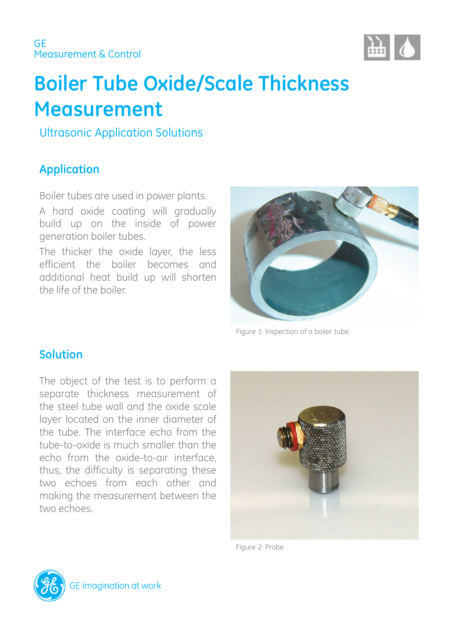

# **Boiler Tube Oxide/Scale Thickness Measurement**

Ultrasonic Application Solutions

# **Application**

Boiler tubes are used in power plants.

A hard oxide coating will gradually build up on the inside of power generation boiler tubes.

The thicker the oxide layer, the less efficient the boiler becomes and additional heat build up will shorten the life of the boiler.



Figure 1: Inspection of a boiler tube

### **Solution**

The object of the test is to perform a separate thickness measurement of the steel tube wall and the oxide scale layer located on the inner diameter of the tube. The interface echo from the tube-to-oxide is much smaller than the echo from the oxide-to-air interface, thus, the difficulty is separating these two echoes from each other and making the measurement between the two echoes.



Figure 2: Probe